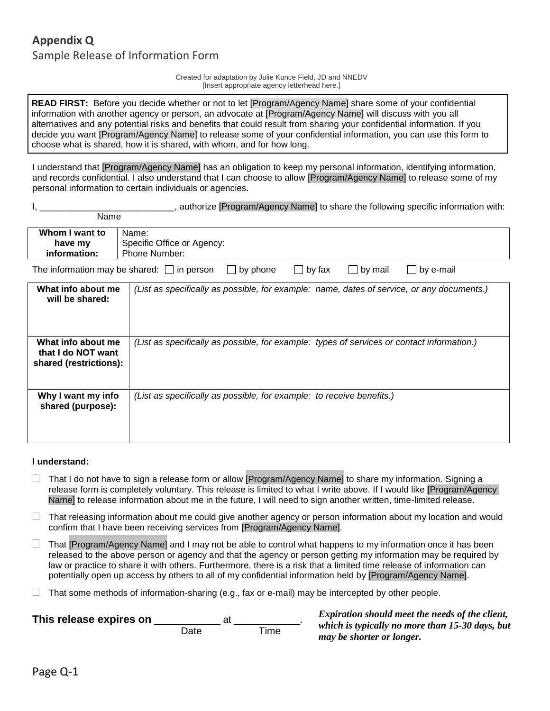## **Appendix Q** Sample Release of Information Form

Name

Created for adaptation by Julie Kunce Field, JD and NNEDV [Insert appropriate agency letterhead here.]

**READ FIRST:** Before you decide whether or not to let [Program/Agency Name] share some of your confidential information with another agency or person, an advocate at [Program/Agency Name] will discuss with you all alternatives and any potential risks and benefits that could result from sharing your confidential information. If you decide you want [Program/Agency Name] to release some of your confidential information, you can use this form to choose what is shared, how it is shared, with whom, and for how long.

I understand that [Program/Agency Name] has an obligation to keep my personal information, identifying information, and records confidential. I also understand that I can choose to allow [Program/Agency Name] to release some of my personal information to certain individuals or agencies.

| , authorize [Program/Agency Name] to share the following specific information with: |  |  |  |  |  |  |  |
|-------------------------------------------------------------------------------------|--|--|--|--|--|--|--|
|                                                                                     |  |  |  |  |  |  |  |

| Whom I want to                                                                                                                         | Name:                                                                                      |  |  |  |  |  |  |
|----------------------------------------------------------------------------------------------------------------------------------------|--------------------------------------------------------------------------------------------|--|--|--|--|--|--|
| have my                                                                                                                                | Specific Office or Agency:                                                                 |  |  |  |  |  |  |
| information:                                                                                                                           | Phone Number:                                                                              |  |  |  |  |  |  |
|                                                                                                                                        |                                                                                            |  |  |  |  |  |  |
| by phone<br>by e-mail<br>The information may be shared: $\Box$ in person<br>$\Box$ by fax<br>$\bigsqcup$ by mail<br>$\perp$<br>$\perp$ |                                                                                            |  |  |  |  |  |  |
| What info about me<br>will be shared:                                                                                                  | (List as specifically as possible, for example: name, dates of service, or any documents.) |  |  |  |  |  |  |
|                                                                                                                                        |                                                                                            |  |  |  |  |  |  |
| What info about me<br>that I do NOT want<br>shared (restrictions):                                                                     | (List as specifically as possible, for example: types of services or contact information.) |  |  |  |  |  |  |
| Why I want my info<br>shared (purpose):                                                                                                | (List as specifically as possible, for example: to receive benefits.)                      |  |  |  |  |  |  |

## **I understand:**

- $\Box$  That I do not have to sign a release form or allow [Program/Agency Name] to share my information. Signing a release form is completely voluntary. This release is limited to what I write above. If I would like [Program/Agency Name] to release information about me in the future, I will need to sign another written, time-limited release.
- $\Box$  That releasing information about me could give another agency or person information about my location and would confirm that I have been receiving services from [Program/Agency Name].
- $\Box$  That [Program/Agency Name] and I may not be able to control what happens to my information once it has been released to the above person or agency and that the agency or person getting my information may be required by law or practice to share it with others. Furthermore, there is a risk that a limited time release of information can potentially open up access by others to all of my confidential information held by [Program/Agency Name].
- $\Box$  That some methods of information-sharing (e.g., fax or e-mail) may be intercepted by other people.

| This release expires on |      | at | Expiration should meet the needs of the client, |  |  |  |
|-------------------------|------|----|-------------------------------------------------|--|--|--|
|                         | Date | ™e | which is typically no more than 15-30 days, but |  |  |  |
|                         |      |    | may be shorter or longer.                       |  |  |  |